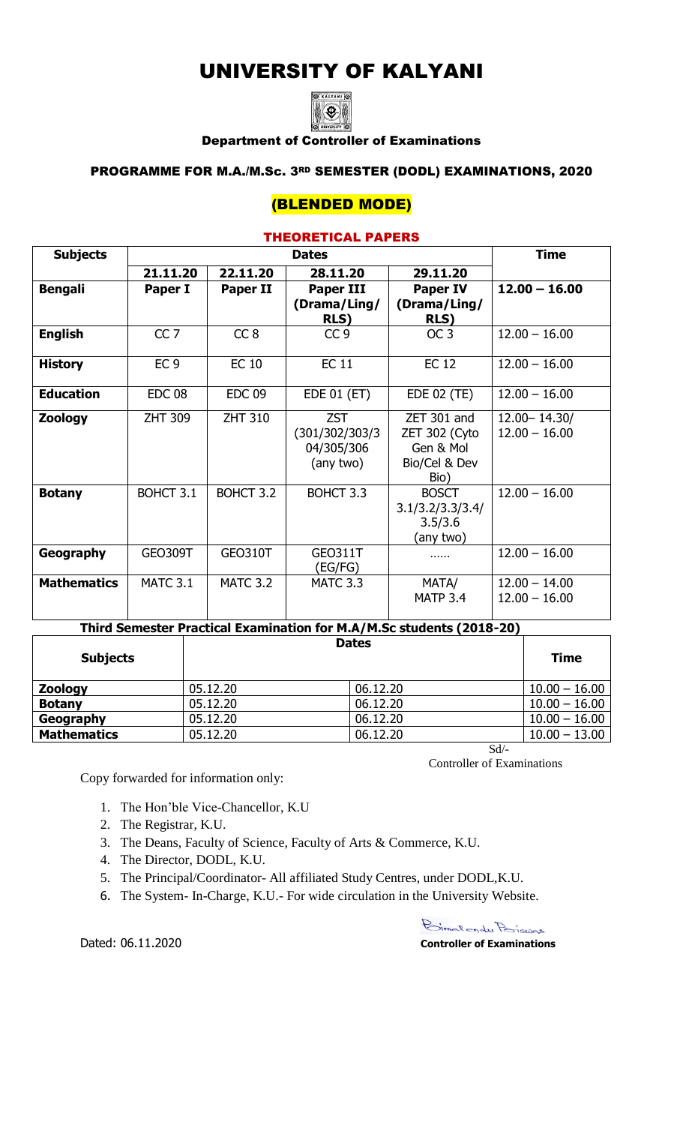# UNIVERSITY OF KALYANI



### Department of Controller of Examinations

### PROGRAMME FOR M.A./M.Sc. 3RD SEMESTER (DODL) EXAMINATIONS, 2020

# (BLENDED MODE)

### THEORETICAL PAPERS

| <b>Subjects</b>    |                 | <b>Time</b>     |                             |                             |                 |
|--------------------|-----------------|-----------------|-----------------------------|-----------------------------|-----------------|
|                    | 21.11.20        | 22.11.20        | 28.11.20                    | 29.11.20                    |                 |
| <b>Bengali</b>     | Paper I         | <b>Paper II</b> | <b>Paper III</b>            | <b>Paper IV</b>             | $12.00 - 16.00$ |
|                    |                 |                 | (Drama/Ling/<br><b>RLS)</b> | (Drama/Ling/<br><b>RLS)</b> |                 |
| <b>English</b>     | CC <sub>7</sub> | CC <sub>8</sub> | CC <sub>9</sub>             | OC <sub>3</sub>             | $12.00 - 16.00$ |
| <b>History</b>     | EC <sub>9</sub> | <b>EC 10</b>    | <b>EC 11</b>                | <b>EC12</b>                 | $12.00 - 16.00$ |
| <b>Education</b>   | <b>EDC 08</b>   | <b>EDC 09</b>   | EDE 01 (ET)                 | EDE 02 (TE)                 | $12.00 - 16.00$ |
| <b>Zoology</b>     | <b>ZHT 309</b>  | <b>ZHT 310</b>  | <b>ZST</b>                  | ZET 301 and                 | 12.00 - 14.30/  |
|                    |                 |                 | (301/302/303/3              | ZET 302 (Cyto               | $12.00 - 16.00$ |
|                    |                 |                 | 04/305/306                  | Gen & Mol                   |                 |
|                    |                 |                 | (any two)                   | Bio/Cel & Dev               |                 |
|                    |                 |                 |                             | Bio)                        |                 |
| <b>Botany</b>      | BOHCT 3.1       | BOHCT 3.2       | BOHCT 3.3                   | <b>BOSCT</b>                | $12.00 - 16.00$ |
|                    |                 |                 |                             | 3.1/3.2/3.3/3.4/<br>3.5/3.6 |                 |
|                    |                 |                 |                             | (any two)                   |                 |
| Geography          | <b>GEO309T</b>  | <b>GEO310T</b>  | <b>GEO311T</b>              |                             | $12.00 - 16.00$ |
|                    |                 |                 | (EG/FG)                     |                             |                 |
| <b>Mathematics</b> | <b>MATC 3.1</b> | <b>MATC 3.2</b> | <b>MATC 3.3</b>             | MATA/                       | $12.00 - 14.00$ |
|                    |                 |                 |                             | <b>MATP 3.4</b>             | $12.00 - 16.00$ |
|                    |                 |                 |                             |                             |                 |

# **Third Semester Practical Examination for M.A/M.Sc students (2018-20)**

| <b>Subjects</b>    |          | <b>Dates</b> | <b>Time</b>     |
|--------------------|----------|--------------|-----------------|
| <b>Zoology</b>     | 05.12.20 | 06.12.20     | $10.00 - 16.00$ |
| <b>Botany</b>      | 05.12.20 | 06.12.20     | $10.00 - 16.00$ |
| Geography          | 05.12.20 | 06.12.20     | $10.00 - 16.00$ |
| <b>Mathematics</b> | 05.12.20 | 06.12.20     | $10.00 - 13.00$ |
|                    |          | Sd           |                 |

Controller of Examinations

Copy forwarded for information only:

- 1. The Hon'ble Vice-Chancellor, K.U
- 2. The Registrar, K.U.
- 3. The Deans, Faculty of Science, Faculty of Arts & Commerce, K.U.
- 4. The Director, DODL, K.U.
- 5. The Principal/Coordinator- All affiliated Study Centres, under DODL,K.U.
- 6. The System- In-Charge, K.U.- For wide circulation in the University Website.

Dated: 06.11.2020

Bimalender Poiswas **Controller of Examinations**